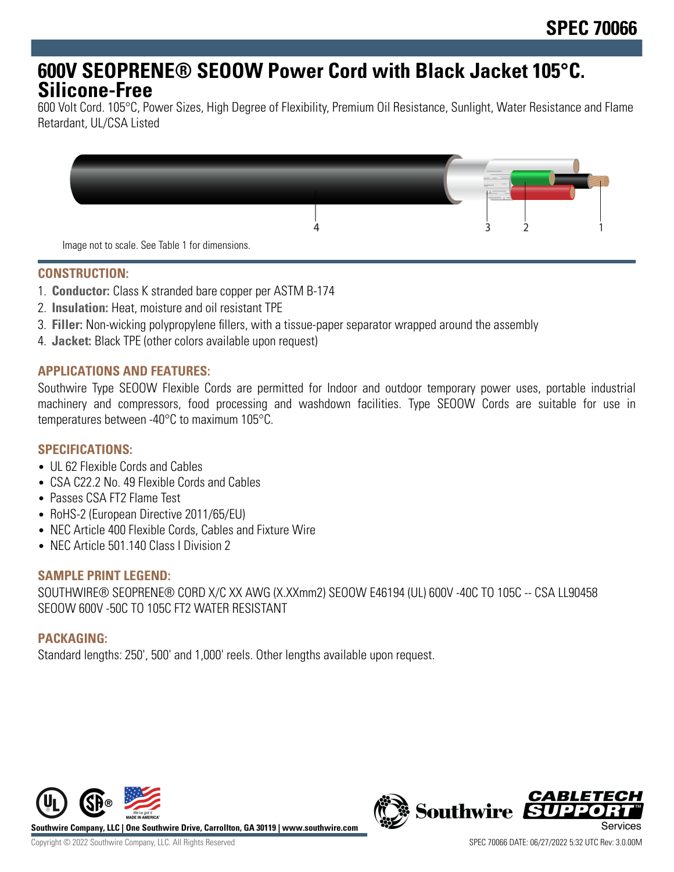# **600V SEOPRENE® SEOOW Power Cord with Black Jacket 105°C. Silicone-Free**

600 Volt Cord. 105°C, Power Sizes, High Degree of Flexibility, Premium Oil Resistance, Sunlight, Water Resistance and Flame Retardant, UL/CSA Listed



## **CONSTRUCTION:**

- 1. **Conductor:** Class K stranded bare copper per ASTM B-174
- 2. **Insulation:** Heat, moisture and oil resistant TPE
- 3. **Filler:** Non-wicking polypropylene fillers, with a tissue-paper separator wrapped around the assembly
- 4. **Jacket:** Black TPE (other colors available upon request)

## **APPLICATIONS AND FEATURES:**

Southwire Type SEOOW Flexible Cords are permitted for Indoor and outdoor temporary power uses, portable industrial machinery and compressors, food processing and washdown facilities. Type SEOOW Cords are suitable for use in temperatures between -40°C to maximum 105°C.

## **SPECIFICATIONS:**

- UL 62 Flexible Cords and Cables
- CSA C22.2 No. 49 Flexible Cords and Cables
- Passes CSA FT2 Flame Test
- RoHS-2 (European Directive 2011/65/EU)
- NEC Article 400 Flexible Cords, Cables and Fixture Wire
- NEC Article 501.140 Class | Division 2

#### **SAMPLE PRINT LEGEND:**

SOUTHWIRE® SEOPRENE® CORD X/C XX AWG (X.XXmm2) SEOOW E46194 (UL) 600V -40C TO 105C -- CSA LL90458 SEOOW 600V -50C TO 105C FT2 WATER RESISTANT

#### **PACKAGING:**

Standard lengths: 250', 500' and 1,000' reels. Other lengths available upon request.



**Southwire Company, LLC | One Southwire Drive, Carrollton, GA 30119 | www.southwire.com**